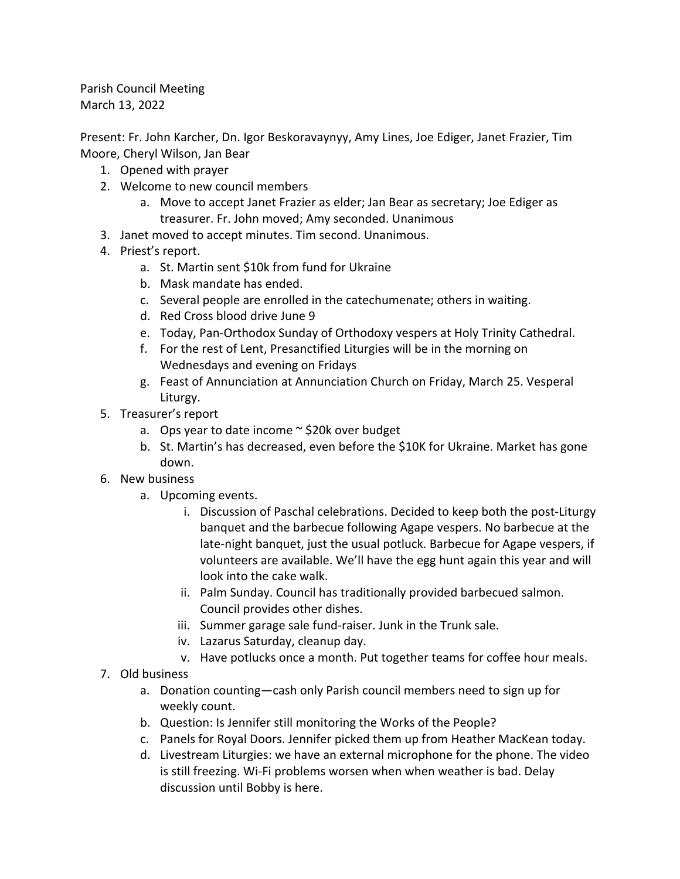Parish Council Meeting March 13, 2022

Present: Fr. John Karcher, Dn. Igor Beskoravaynyy, Amy Lines, Joe Ediger, Janet Frazier, Tim Moore, Cheryl Wilson, Jan Bear

- 1. Opened with prayer
- 2. Welcome to new council members
	- a. Move to accept Janet Frazier as elder; Jan Bear as secretary; Joe Ediger as treasurer. Fr. John moved; Amy seconded. Unanimous
- 3. Janet moved to accept minutes. Tim second. Unanimous.
- 4. Priest's report.
	- a. St. Martin sent \$10k from fund for Ukraine
	- b. Mask mandate has ended.
	- c. Several people are enrolled in the catechumenate; others in waiting.
	- d. Red Cross blood drive June 9
	- e. Today, Pan-Orthodox Sunday of Orthodoxy vespers at Holy Trinity Cathedral.
	- f. For the rest of Lent, Presanctified Liturgies will be in the morning on Wednesdays and evening on Fridays
	- g. Feast of Annunciation at Annunciation Church on Friday, March 25. Vesperal Liturgy.
- 5. Treasurer's report
	- a. Ops year to date income  $\sim$  \$20k over budget
	- b. St. Martin's has decreased, even before the \$10K for Ukraine. Market has gone down.
- 6. New business
	- a. Upcoming events.
		- i. Discussion of Paschal celebrations. Decided to keep both the post-Liturgy banquet and the barbecue following Agape vespers. No barbecue at the late-night banquet, just the usual potluck. Barbecue for Agape vespers, if volunteers are available. We'll have the egg hunt again this year and will look into the cake walk.
		- ii. Palm Sunday. Council has traditionally provided barbecued salmon. Council provides other dishes.
		- iii. Summer garage sale fund-raiser. Junk in the Trunk sale.
		- iv. Lazarus Saturday, cleanup day.
		- v. Have potlucks once a month. Put together teams for coffee hour meals.
- 7. Old business
	- a. Donation counting—cash only Parish council members need to sign up for weekly count.
	- b. Question: Is Jennifer still monitoring the Works of the People?
	- c. Panels for Royal Doors. Jennifer picked them up from Heather MacKean today.
	- d. Livestream Liturgies: we have an external microphone for the phone. The video is still freezing. Wi-Fi problems worsen when when weather is bad. Delay discussion until Bobby is here.